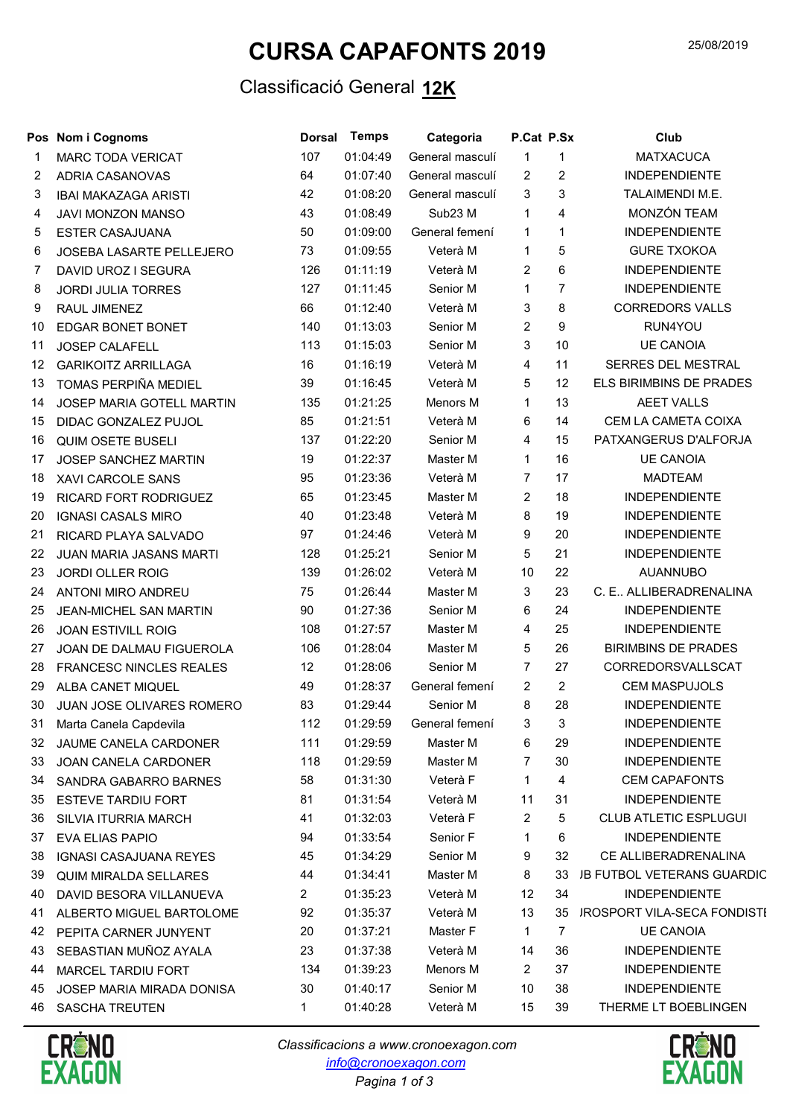## CURSA CAPAFONTS 2019

### Classificació General 12K

|    | Pos Nom i Cognoms              | <b>Dorsal</b> | Temps    | Categoria       | P.Cat P.Sx     |                | Club                               |
|----|--------------------------------|---------------|----------|-----------------|----------------|----------------|------------------------------------|
| 1  | <b>MARC TODA VERICAT</b>       | 107           | 01:04:49 | General masculí | $\mathbf{1}$   | $\mathbf{1}$   | <b>MATXACUCA</b>                   |
| 2  | ADRIA CASANOVAS                | 64            | 01:07:40 | General masculí | 2              | $\overline{2}$ | <b>INDEPENDIENTE</b>               |
| 3  | <b>IBAI MAKAZAGA ARISTI</b>    | 42            | 01:08:20 | General masculí | 3              | 3              | TALAIMENDI M.E.                    |
| 4  | JAVI MONZON MANSO              | 43            | 01:08:49 | Sub23 M         | $\mathbf{1}$   | $\overline{4}$ | MONZÓN TEAM                        |
| 5  | <b>ESTER CASAJUANA</b>         | 50            | 01:09:00 | General femení  | $\mathbf{1}$   | $\mathbf{1}$   | <b>INDEPENDIENTE</b>               |
| 6  | JOSEBA LASARTE PELLEJERO       | 73            | 01:09:55 | Veterà M        | 1              | 5              | <b>GURE TXOKOA</b>                 |
| 7  | DAVID UROZ I SEGURA            | 126           | 01:11:19 | Veterà M        | $\overline{2}$ | 6              | <b>INDEPENDIENTE</b>               |
| 8  | <b>JORDI JULIA TORRES</b>      | 127           | 01:11:45 | Senior M        | $\mathbf{1}$   | $\overline{7}$ | <b>INDEPENDIENTE</b>               |
| 9  | RAUL JIMENEZ                   | 66            | 01:12:40 | Veterà M        | $\mathbf{3}$   | 8              | <b>CORREDORS VALLS</b>             |
| 10 | EDGAR BONET BONET              | 140           | 01:13:03 | Senior M        | $\overline{2}$ | 9              | RUN4YOU                            |
| 11 | <b>JOSEP CALAFELL</b>          | 113           | 01:15:03 | Senior M        | 3              | 10             | <b>UE CANOIA</b>                   |
| 12 | <b>GARIKOITZ ARRILLAGA</b>     | 16            | 01:16:19 | Veterà M        | $\overline{4}$ | 11             | SERRES DEL MESTRAL                 |
| 13 | TOMAS PERPIÑA MEDIEL           | 39            | 01:16:45 | Veterà M        | 5              | 12             | ELS BIRIMBINS DE PRADES            |
| 14 | JOSEP MARIA GOTELL MARTIN      | 135           | 01:21:25 | Menors M        | $\mathbf{1}$   | 13             | <b>AEET VALLS</b>                  |
| 15 | DIDAC GONZALEZ PUJOL           | 85            | 01:21:51 | Veterà M        | 6              | 14             | CEM LA CAMETA COIXA                |
| 16 | <b>QUIM OSETE BUSELI</b>       | 137           | 01:22:20 | Senior M        | $\overline{4}$ | 15             | PATXANGERUS D'ALFORJA              |
| 17 | JOSEP SANCHEZ MARTIN           | 19            | 01:22:37 | Master M        | $\mathbf{1}$   | 16             | <b>UE CANOIA</b>                   |
| 18 | XAVI CARCOLE SANS              | 95            | 01:23:36 | Veterà M        | $\overline{7}$ | 17             | <b>MADTEAM</b>                     |
| 19 | RICARD FORT RODRIGUEZ          | 65            | 01:23:45 | Master M        | $\overline{2}$ | 18             | <b>INDEPENDIENTE</b>               |
| 20 | <b>IGNASI CASALS MIRO</b>      | 40            | 01:23:48 | Veterà M        | 8              | 19             | <b>INDEPENDIENTE</b>               |
| 21 | RICARD PLAYA SALVADO           | 97            | 01:24:46 | Veterà M        | 9              | 20             | <b>INDEPENDIENTE</b>               |
| 22 | JUAN MARIA JASANS MARTI        | 128           | 01:25:21 | Senior M        | $\overline{5}$ | 21             | <b>INDEPENDIENTE</b>               |
| 23 | <b>JORDI OLLER ROIG</b>        | 139           | 01:26:02 | Veterà M        | 10             | 22             | <b>AUANNUBO</b>                    |
| 24 | ANTONI MIRO ANDREU             | 75            | 01:26:44 | Master M        | 3              | 23             | C. E ALLIBERADRENALINA             |
| 25 | JEAN-MICHEL SAN MARTIN         | 90            | 01:27:36 | Senior M        | 6              | 24             | <b>INDEPENDIENTE</b>               |
| 26 | <b>JOAN ESTIVILL ROIG</b>      | 108           | 01:27:57 | Master M        | 4              | 25             | <b>INDEPENDIENTE</b>               |
| 27 | JOAN DE DALMAU FIGUEROLA       | 106           | 01:28:04 | Master M        | 5              | 26             | <b>BIRIMBINS DE PRADES</b>         |
| 28 | <b>FRANCESC NINCLES REALES</b> | 12            | 01:28:06 | Senior M        | $\overline{7}$ | 27             | CORREDORSVALLSCAT                  |
| 29 | ALBA CANET MIQUEL              | 49            | 01:28:37 | General femení  | $\overline{2}$ | $\overline{2}$ | <b>CEM MASPUJOLS</b>               |
| 30 | JUAN JOSE OLIVARES ROMERO      | 83            | 01:29:44 | Senior M        | 8              | 28             | <b>INDEPENDIENTE</b>               |
| 31 | Marta Canela Capdevila         | 112           | 01:29:59 | General femení  | $\mathbf{3}$   | $\mathbf{3}$   | INDEPENDIENTE                      |
| 32 | JAUME CANELA CARDONER          | 111           | 01:29:59 | Master M        | 6              | 29             | <b>INDEPENDIENTE</b>               |
| 33 | <b>JOAN CANELA CARDONER</b>    | 118           | 01:29:59 | Master M        | $\overline{7}$ | 30             | <b>INDEPENDIENTE</b>               |
| 34 | SANDRA GABARRO BARNES          | 58            | 01:31:30 | Veterà F        | 1              | 4              | <b>CEM CAPAFONTS</b>               |
| 35 | <b>ESTEVE TARDIU FORT</b>      | 81            | 01:31:54 | Veterà M        | 11             | 31             | <b>INDEPENDIENTE</b>               |
| 36 | SILVIA ITURRIA MARCH           | 41            | 01:32:03 | Veterà F        | 2              | 5              | <b>CLUB ATLETIC ESPLUGUI</b>       |
| 37 | EVA ELIAS PAPIO                | 94            | 01:33:54 | Senior F        | 1              | 6              | <b>INDEPENDIENTE</b>               |
| 38 | <b>IGNASI CASAJUANA REYES</b>  | 45            | 01:34:29 | Senior M        | 9              | 32             | CE ALLIBERADRENALINA               |
| 39 | <b>QUIM MIRALDA SELLARES</b>   | 44            | 01:34:41 | Master M        | 8              | 33             | <b>JB FUTBOL VETERANS GUARDIC</b>  |
| 40 | DAVID BESORA VILLANUEVA        | 2             | 01:35:23 | Veterà M        | 12             | 34             | <b>INDEPENDIENTE</b>               |
| 41 | ALBERTO MIGUEL BARTOLOME       | 92            | 01:35:37 | Veterà M        | 13             | 35             | <b>JROSPORT VILA-SECA FONDISTI</b> |
| 42 | PEPITA CARNER JUNYENT          | 20            | 01:37:21 | Master F        | $\mathbf{1}$   | 7              | <b>UE CANOIA</b>                   |
| 43 | SEBASTIAN MUÑOZ AYALA          | 23            | 01:37:38 | Veterà M        | 14             | 36             | <b>INDEPENDIENTE</b>               |
| 44 | MARCEL TARDIU FORT             | 134           | 01:39:23 | Menors M        | $\overline{2}$ | 37             | <b>INDEPENDIENTE</b>               |
| 45 | JOSEP MARIA MIRADA DONISA      | 30            | 01:40:17 | Senior M        | 10             | 38             | <b>INDEPENDIENTE</b>               |
| 46 | <b>SASCHA TREUTEN</b>          | 1             | 01:40:28 | Veterà M        | 15             | 39             | THERME LT BOEBLINGEN               |



Pagina 1 of 3 Classificacions a www.cronoexagon.com info@cronoexagon.com

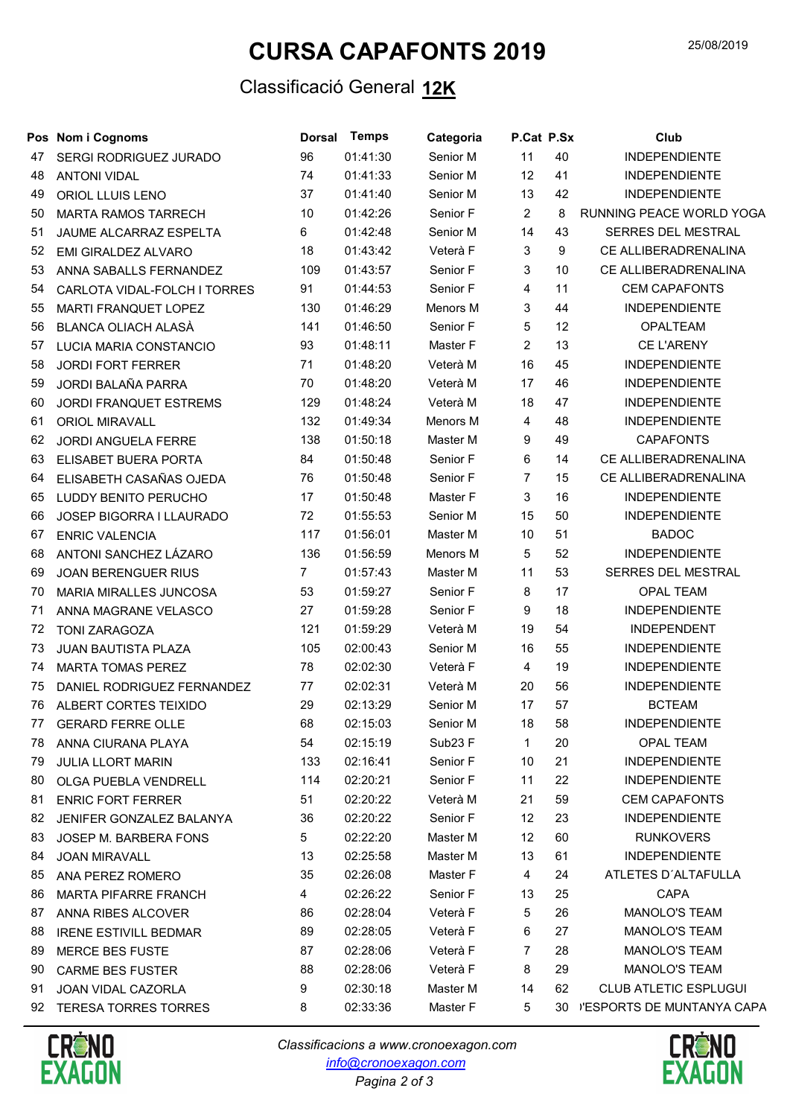# CURSA CAPAFONTS 2019

#### Classificació General 12K

|    | Pos Nom i Cognoms             | <b>Dorsal</b>  | <b>Temps</b> | Categoria | P.Cat P.Sx     |    | Club                          |
|----|-------------------------------|----------------|--------------|-----------|----------------|----|-------------------------------|
| 47 | SERGI RODRIGUEZ JURADO        | 96             | 01:41:30     | Senior M  | 11             | 40 | <b>INDEPENDIENTE</b>          |
| 48 | <b>ANTONI VIDAL</b>           | 74             | 01:41:33     | Senior M  | 12             | 41 | <b>INDEPENDIENTE</b>          |
| 49 | ORIOL LLUIS LENO              | 37             | 01:41:40     | Senior M  | 13             | 42 | <b>INDEPENDIENTE</b>          |
| 50 | <b>MARTA RAMOS TARRECH</b>    | 10             | 01:42:26     | Senior F  | $\overline{2}$ | 8  | RUNNING PEACE WORLD YOGA      |
| 51 | <b>JAUME ALCARRAZ ESPELTA</b> | 6              | 01:42:48     | Senior M  | 14             | 43 | SERRES DEL MESTRAL            |
| 52 | EMI GIRALDEZ ALVARO           | 18             | 01:43:42     | Veterà F  | 3              | 9  | CE ALLIBERADRENALINA          |
| 53 | ANNA SABALLS FERNANDEZ        | 109            | 01:43:57     | Senior F  | 3              | 10 | CE ALLIBERADRENALINA          |
| 54 | CARLOTA VIDAL-FOLCH I TORRES  | 91             | 01:44:53     | Senior F  | 4              | 11 | <b>CEM CAPAFONTS</b>          |
| 55 | MARTI FRANQUET LOPEZ          | 130            | 01:46:29     | Menors M  | 3              | 44 | <b>INDEPENDIENTE</b>          |
| 56 | <b>BLANCA OLIACH ALASÀ</b>    | 141            | 01:46:50     | Senior F  | 5              | 12 | <b>OPALTEAM</b>               |
| 57 | LUCIA MARIA CONSTANCIO        | 93             | 01:48:11     | Master F  | $\overline{2}$ | 13 | <b>CE L'ARENY</b>             |
| 58 | <b>JORDI FORT FERRER</b>      | 71             | 01:48:20     | Veterà M  | 16             | 45 | <b>INDEPENDIENTE</b>          |
| 59 | JORDI BALAÑA PARRA            | 70             | 01:48:20     | Veterà M  | 17             | 46 | <b>INDEPENDIENTE</b>          |
| 60 | JORDI FRANQUET ESTREMS        | 129            | 01:48:24     | Veterà M  | 18             | 47 | <b>INDEPENDIENTE</b>          |
| 61 | ORIOL MIRAVALL                | 132            | 01:49:34     | Menors M  | $\overline{4}$ | 48 | <b>INDEPENDIENTE</b>          |
| 62 | <b>JORDI ANGUELA FERRE</b>    | 138            | 01:50:18     | Master M  | 9              | 49 | <b>CAPAFONTS</b>              |
| 63 | ELISABET BUERA PORTA          | 84             | 01:50:48     | Senior F  | 6              | 14 | CE ALLIBERADRENALINA          |
| 64 | ELISABETH CASAÑAS OJEDA       | 76             | 01:50:48     | Senior F  | $\overline{7}$ | 15 | CE ALLIBERADRENALINA          |
| 65 | LUDDY BENITO PERUCHO          | 17             | 01:50:48     | Master F  | 3              | 16 | <b>INDEPENDIENTE</b>          |
| 66 | JOSEP BIGORRA I LLAURADO      | 72             | 01:55:53     | Senior M  | 15             | 50 | <b>INDEPENDIENTE</b>          |
| 67 | <b>ENRIC VALENCIA</b>         | 117            | 01:56:01     | Master M  | 10             | 51 | <b>BADOC</b>                  |
| 68 | ANTONI SANCHEZ LÁZARO         | 136            | 01:56:59     | Menors M  | 5              | 52 | <b>INDEPENDIENTE</b>          |
| 69 | <b>JOAN BERENGUER RIUS</b>    | $\overline{7}$ | 01:57:43     | Master M  | 11             | 53 | SERRES DEL MESTRAL            |
| 70 | MARIA MIRALLES JUNCOSA        | 53             | 01:59:27     | Senior F  | 8              | 17 | <b>OPAL TEAM</b>              |
| 71 | ANNA MAGRANE VELASCO          | 27             | 01:59:28     | Senior F  | 9              | 18 | <b>INDEPENDIENTE</b>          |
| 72 | <b>TONI ZARAGOZA</b>          | 121            | 01:59:29     | Veterà M  | 19             | 54 | INDEPENDENT                   |
| 73 | <b>JUAN BAUTISTA PLAZA</b>    | 105            | 02:00:43     | Senior M  | 16             | 55 | <b>INDEPENDIENTE</b>          |
| 74 | <b>MARTA TOMAS PEREZ</b>      | 78             | 02:02:30     | Veterà F  | $\overline{4}$ | 19 | <b>INDEPENDIENTE</b>          |
| 75 | DANIEL RODRIGUEZ FERNANDEZ    | 77             | 02:02:31     | Veterà M  | 20             | 56 | <b>INDEPENDIENTE</b>          |
| 76 | ALBERT CORTES TEIXIDO         | 29             | 02:13:29     | Senior M  | 17             | 57 | <b>BCTEAM</b>                 |
|    | 77 GERARD FERRE OLLE          | 68             | 02:15:03     | Senior M  | 18             | 58 | <b>INDEPENDIENTE</b>          |
| 78 | ANNA CIURANA PLAYA            | 54             | 02:15:19     | Sub23 F   | 1              | 20 | <b>OPAL TEAM</b>              |
| 79 | <b>JULIA LLORT MARIN</b>      | 133            | 02:16:41     | Senior F  | 10             | 21 | <b>INDEPENDIENTE</b>          |
| 80 | OLGA PUEBLA VENDRELL          | 114            | 02:20:21     | Senior F  | 11             | 22 | <b>INDEPENDIENTE</b>          |
| 81 | <b>ENRIC FORT FERRER</b>      | 51             | 02:20:22     | Veterà M  | 21             | 59 | <b>CEM CAPAFONTS</b>          |
| 82 | JENIFER GONZALEZ BALANYA      | 36             | 02:20:22     | Senior F  | 12             | 23 | <b>INDEPENDIENTE</b>          |
| 83 | JOSEP M. BARBERA FONS         | 5              | 02:22:20     | Master M  | 12             | 60 | <b>RUNKOVERS</b>              |
| 84 | <b>JOAN MIRAVALL</b>          | 13             | 02:25:58     | Master M  | 13             | 61 | <b>INDEPENDIENTE</b>          |
| 85 | ANA PEREZ ROMERO              | 35             | 02:26:08     | Master F  | 4              | 24 | ATLETES D'ALTAFULLA           |
| 86 | <b>MARTA PIFARRE FRANCH</b>   | 4              | 02:26:22     | Senior F  | 13             | 25 | <b>CAPA</b>                   |
| 87 | ANNA RIBES ALCOVER            | 86             | 02:28:04     | Veterà F  | 5              | 26 | MANOLO'S TEAM                 |
| 88 | <b>IRENE ESTIVILL BEDMAR</b>  | 89             | 02:28:05     | Veterà F  | 6              | 27 | MANOLO'S TEAM                 |
| 89 | <b>MERCE BES FUSTE</b>        | 87             | 02:28:06     | Veterà F  | 7              | 28 | MANOLO'S TEAM                 |
| 90 | <b>CARME BES FUSTER</b>       | 88             | 02:28:06     | Veterà F  | 8              | 29 | MANOLO'S TEAM                 |
| 91 | JOAN VIDAL CAZORLA            | 9              | 02:30:18     | Master M  | 14             | 62 | <b>CLUB ATLETIC ESPLUGUI</b>  |
| 92 | <b>TERESA TORRES TORRES</b>   | 8              | 02:33:36     | Master F  | 5              |    | 30 J'ESPORTS DE MUNTANYA CAPA |